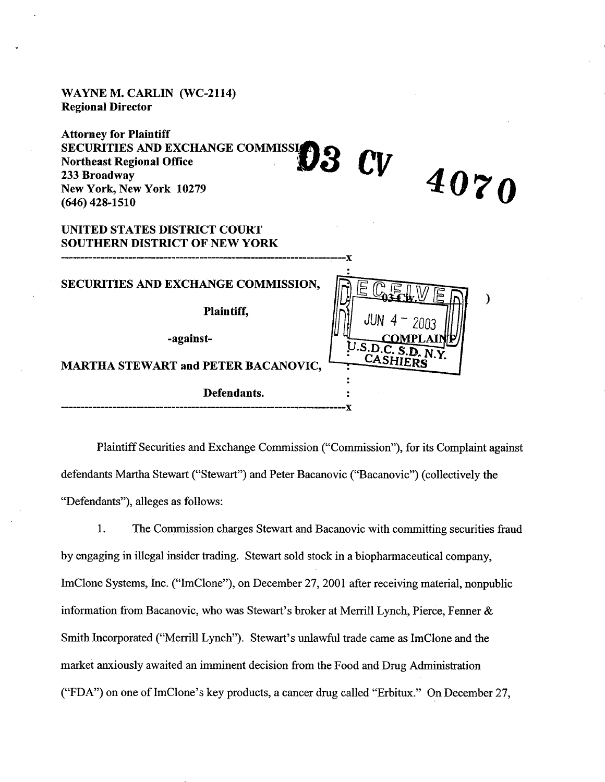**WAYNE M. CARLIN (WC-2114) Regional Director** 

**Attorney for Plaintiff SECURITIES AND EXCHANGE COMMISS Northeast 233 Broadway Regional Office**<br> **Passage of The CV**<br> **Passage of The CV New York, New York 10279 (646) 428-1510** 

# **UNITED STATES DISTRICT COURT SOUTHERN DISTRICT OF NEW YORK**

| SECURITIES AND EXCHANGE COMMISSION,        |                             |
|--------------------------------------------|-----------------------------|
| Plaintiff,                                 | JUN $4 - 2003$              |
| -against-                                  | <b>COMPLA</b>               |
| <b>MARTHA STEWART and PETER BACANOVIC,</b> | U.S.D.C. S.D. N<br>CASHIERS |
| Defendants.                                |                             |

Plaintiff Securities and Exchange Commission ("Commission"), for its Complaint against defendants Martha Stewart ("Stewart") and Peter Bacanovic ("Bacanovic") (collectively the "Defendants"), alleges as follows:

4070

€

1. The Commission charges Stewart and Bacanovic with committing securities fiaud by engaging in illegal insider trading. Stewart sold stock in a biopharmaceutical company, ImClone Systems, Inc. ("ImClone"), on December 27, 2001 after receiving material, nonpublic information from Bacanovic, who was Stewart's broker at Merrill Lynch, Pierce, Fenner & Smith Incorporated ("Merrill Lynch"). Stewart's unlawful trade came as ImClone and the market anxiously awaited an imminent decision from the Food and Drug Administration ("FDA") on one of ImClone's key products, a cancer drug called "Erbitux." On December 27,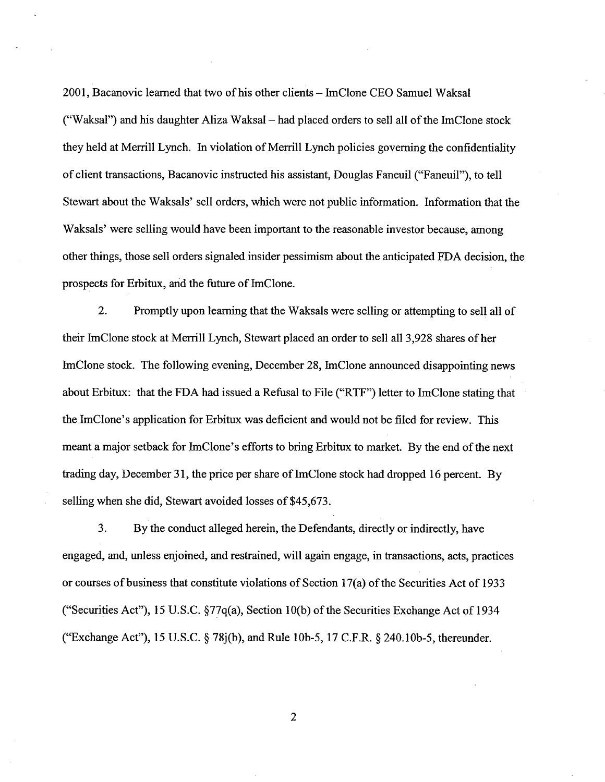2001, Bacanovic learned that two of his other clients -ImClone CEO Samuel Waksal ("Waksal") and his daughter Aliza Waksal  $-$  had placed orders to sell all of the ImClone stock they held at Merrill Lynch. In violation of Merrill Lynch policies governing the confidentiality of client transactions, Bacanovic instructed his assistant, Douglas Faneuil ("Faneuil"), to tell Stewart about the Waksals' sell orders, which were not public information. Information that the Waksals' were selling would have been important to the reasonable investor because, among other things, those sell orders signaled insider pessimism about the anticipated FDA decision, the prospects for Erbitux, and the future of ImClone.

2. Promptly upon learning that the Waksals were selling or attempting to sell all of their ImClone stock at Merrill Lynch, Stewart placed an order to sell all 3,928 shares of her ImClone stock. The following evening, December 28, JmClone announced disappointing news about Erbitux: that the FDA had issued a Refusal to File ("RTF") letter to ImClone stating that the ImClone's application for Erbitux was deficient and would not be filed for review. This meant a major setback for ImClone's efforts to bring Erbitux to market. By the end of the next trading day, December 31, the price per share of ImClone stock had dropped 16 percent. By selling when she did, Stewart avoided losses of \$45,673.

3. By the conduct alleged herein, the Defendants, directly or indirectly, have engaged, and, unless enjoined, and restrained, will again engage, in transactions, acts, practices or courses of business that constitute violations of Section 17(a) of the Securities Act of 1933 ("Securities Act"), 15 U.S.C. \$77q(a), Section 10(b) of the Securities Exuhange Act of 1934 ("Exchange Act"), 15 U.S.C. \$78j(b), and Rule lob-5, 17 C.F.R. \$240.10b-5, thereunder.

 $\overline{2}$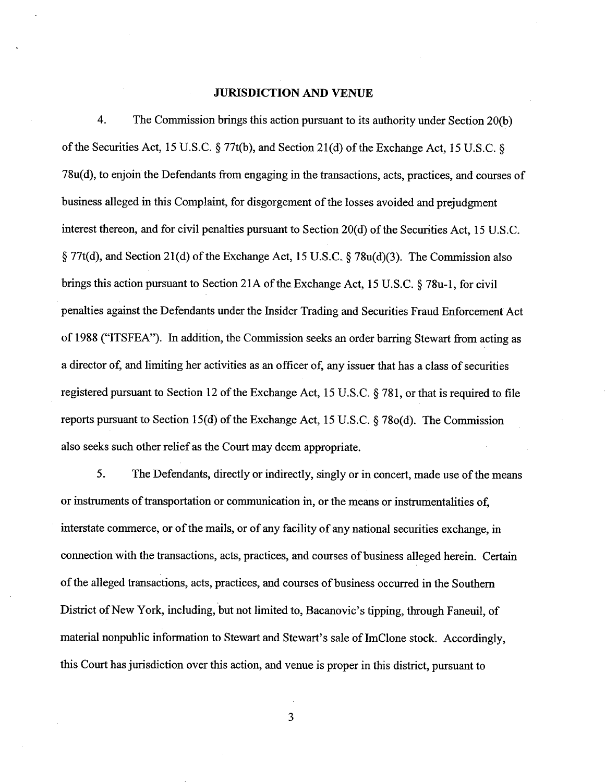### **JURISDICTION AND VENUE**

4. The Commission brings this action pursuant to its authority under Section 20(b) of the Securities Act, 15 U.S.C.  $\S 77t(b)$ , and Section 21(d) of the Exchange Act, 15 U.S.C.  $\S$ 78u(d), to enjoin the Defendants from engaging in the transactions, acts, practices, and courses of business alleged in this Complaint, for disgorgement of the losses avoided and prejudgment interest thereon, and for civil penalties pursuant to Section 20(d) of the Securities Act, 15 U.S.C. § 77t(d), and Section 21(d) of the Exchange Act, 15 U.S.C. **fj** 78u(d)(3). The Commission also brings this action pursuant to Section 21A of the Exchange Act, 15 U.S.C.  $\S$  78 $u$ -1, for civil penalties against the Defendants under the Insider Trading and Securities Fraud Enforcement Act of 1988 ("ITSFEA"). In addition, the Commission seeks an order barring Stewart from acting as a director of, and limiting her activities as an officer of, any issuer that has a class of securities registered pursuant to Section 12 of the Exchange Act, 15 U.S.C. \$ 78 1, or that is required to file reports pursuant to Section 15(d) of the Exchange Act, 15 U.S.C. \$78o(d). The Commission also seeks such other relief as the Court may deem appropriate.

**5.** The Defendants, directly or indirectly, singly or in concert, made use of the means or instruments of transportation or communication in, or the means or instrumentalities of, interstate commerce, or of the mails, or of any facility of any national securities exchange, in connection with the transactions, acts, practices, and courses of business alleged herein. Certain of the alleged transactions, acts, practices, and courses of business occurred in the Southern District of New York, including, but not limited to, Bacanovic's tipping, through Faneuil, of material nonpublic information to Stewart and Stewart's sale of ImClone stock. Accordingly, this Court has jurisdiction over this action, and venue is proper in this district, pursuant to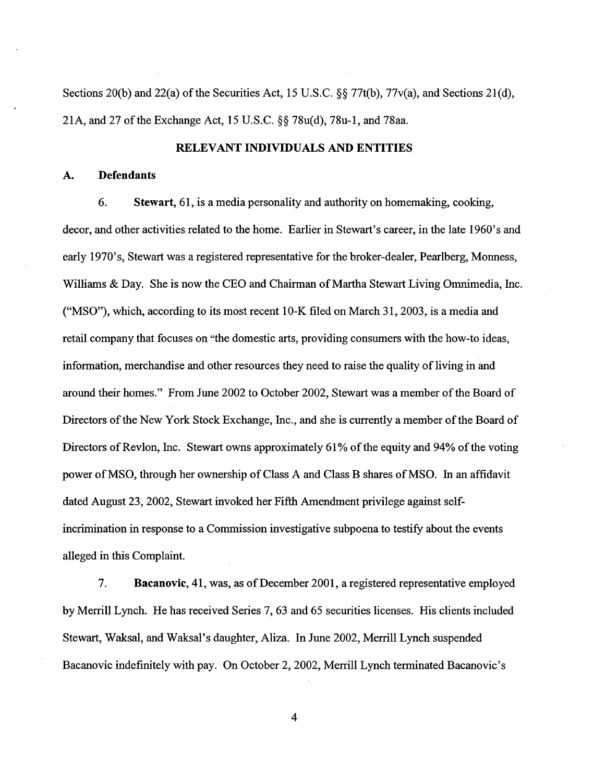Sections 20(b) and 22(a) of the Securities Act, 15 U.S.C. §§ 77t(b), 77v(a), and Sections 21(d), 21A, and 27 of the Exchange Act, 15 U.S.C. \$\$78u(d), 78u-1, and 78aa.

### RELEVANT INDIVIDUALS AND ENTITIES

#### **A.** Defendants

**6.** Stewart, 61, is a media personality and authority on homemaking, cooking, decor, and other activities related to the home. Earlier in Stewart's career, in the late 1960's and early 1970's, Stewart was a registered representative for the broker-dealer, Pearlberg, Monness, Williams & Day. She is now the CEO and Chairman of Martha Stewart Living Omnimedia, Inc. ("MSO"), which, according to its most recent 10-K filed on March **3**1,2003, is a media and retail company that focuses on "the domestic arts, providing consumers with the how-to ideas, information, merchandise and other resources they need to raise the quality of living in and around their homes." From June 2002 to October 2002, Stewart was a member of the Board of Directors of the New York Stock Exchange, Inc., and she is currently a member of the Board of Directors of Revlon, Inc. Stewart owns approximately 61% of the equity and 94% of the voting power of MSO, through her ownership of Class A and Class B shares of MSO. In an affidavit dated August 23,2002, Stewart invoked her Fifth Amendment privilege against selfincrimination in response to a Commission investigative subpoena to testify about the events alleged in this Complaint.

7. Bacanovic, 41, was, as of December 2001, a registered representative employed by Memll Lynch. He has received Series 7,63 and *65* securities licenses. His clients included Stewart, Waksal, and Waksal's daughter, Aliza. In June 2002, Merrill Lynch suspended Bacanovic indefinitely with pay. On October 2, 2002, Merrill Lynch terminated Bacanovic's

 $\overline{4}$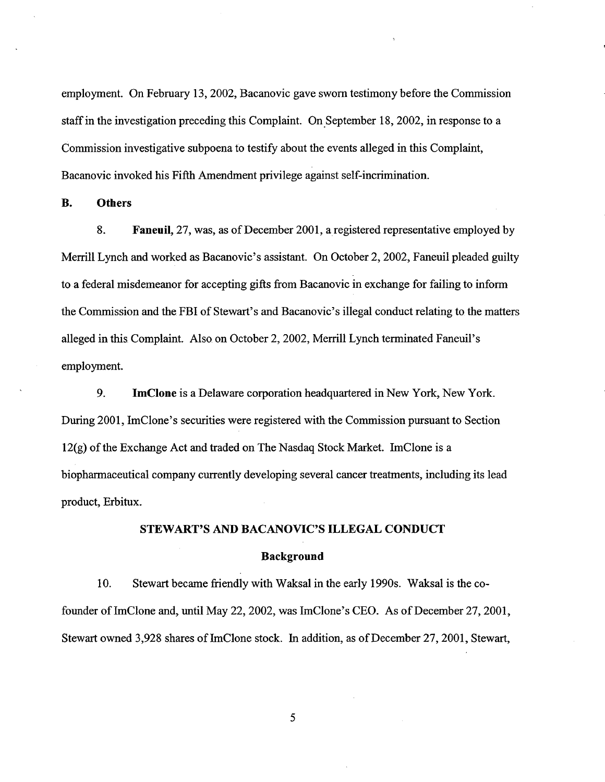employment. On February 13,2002, Bacanovic gave sworn testimony before the Commission staff in the investigation preceding this Complaint. On September 18,2002, in response to a Commission investigative subpoena to testify about the events alleged in this Complaint, Bacanovic invoked his Fifth Amendment privilege against self-incrimination.

B. Others

**8.** Faneuil, 27, was, as of December 2001, a registered representative employed by Merrill Lynch and worked as Bacanovic's assistant. On October 2,2002, Faneuil pleaded guilty to a federal misdemeanor for accepting gifts fiom Bacanovic in exchange for failing to inform the Commission and the FBI of Stewart's and Bacanovic's illegal conduct relating to the matters alleged in this Complaint. Also on October 2,2002, Merrill Lynch terminated Faneuil's employment.

9. ImClone is a Delaware corporation headquartered in New York, New York. During 2001, ImClone's securities were registered with the Commission pursuant to Section 12(g) of the Exchange Act and traded on The Nasdaq Stock Market. ImClone is a biopharmaceutical company currently developing several cancer treatments, including its lead product, Erbitux.

### STEWART'S AND BACANOVIC'S ILLEGAL CONDUCT

### Background

10. Stewart became friendly with Waksal in the early 1990s. Waksal is the cofounder of ImClone and, until May 22,2002, was ImClone's CEO. As of December 27,2001, Stewart owned 3,928 shares of ImClone stock. In addition, as of December 27,2001, Stewart,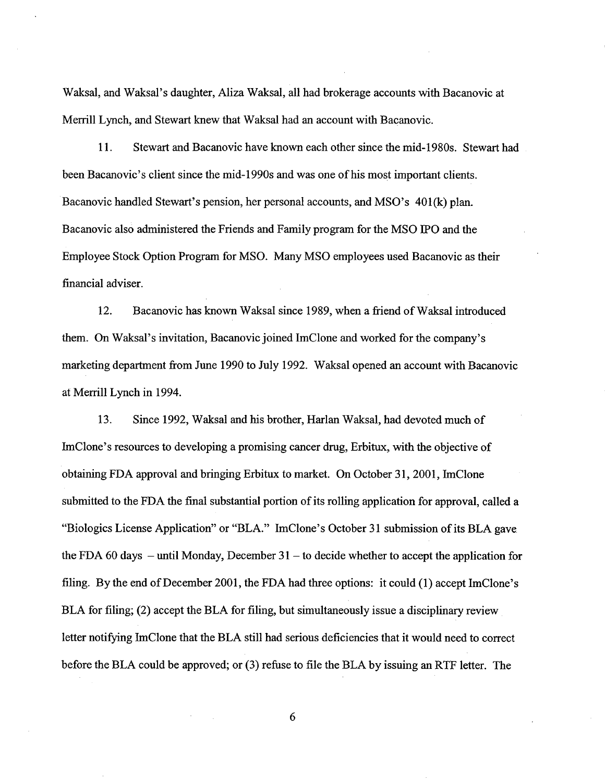Waksal, and Waksal's daughter, Aliza Waksal, all had brokerage accounts with Bacanovic at Merrill Lynch, and Stewart knew that Waksal had an account with Bacanovic.

11. Stewart and Bacanovic have known each other since the mid-1980s. Stewart had been Bacanovic's client since the mid-1990s and was one of his most important clients. Bacanovic handled Stewart's pension, her personal accounts, and MSO's 401(k) plan. Bacanovic also administered the Friends and Family program for the MSO PO and the Employee Stock Option Program for MSO. Many MSO employees used Bacanovic as their financial adviser.

12. Bacanovic has known Waksal since 1989, when a fiiend of Waksal introduced them. On Waksal's invitation, Bacanovic joined ImClone and worked for the company's marketing department fiom June 1990 to July 1992. Waksal opened an account with Bacanovic at Merrill Lynch in 1994.

13. Since 1992, Waksal and his brother, Harlan Waksal, had devoted much of ImClone's resources to developing a promising cancer drug, Erbitux, with the objective of obtaining FDA approval and bringing Erbitux to market. On October 31, 2001, ImClone submitted to the FDA the final substantial portion of its rolling application for approval, called a "Biologics License Application" or "BLA." ImClone's October 31 submission of its BLA gave the FDA 60 days  $-$  until Monday, December 31  $-$  to decide whether to accept the application for filing. By the end of December 2001, the FDA had three options: it could (1) accept ImClone's BLA for filing; (2) accept the BLA for filing, but simultaneously issue a disciplinary review letter notifying ImClone that the BLA still had serious deficiencies that it would need to correct before the BLA could be approved; or (3) refuse to file the BLA by issuing an RTF letter. The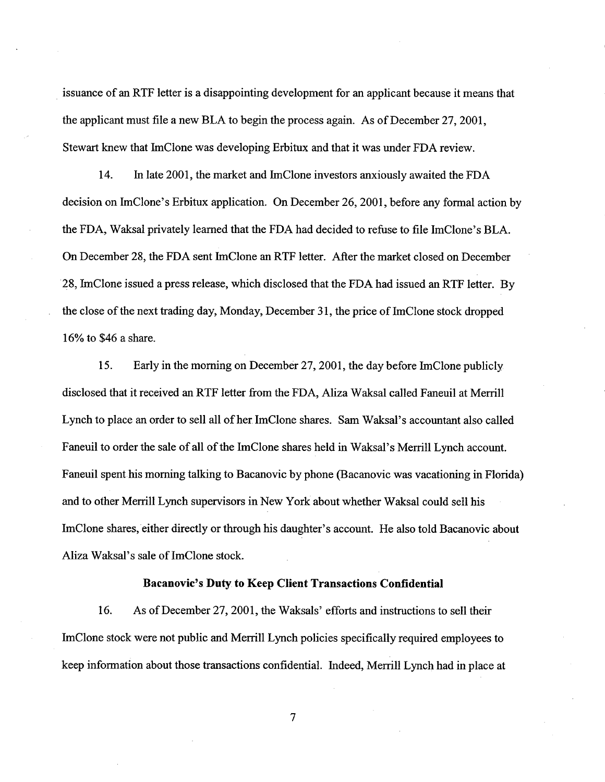issuance of an RTF letter is a disappointing development for an applicant because it means that the applicant must file a new BLA to begin the process again. As of December 27,2001, Stewart knew that lmClone was developing Erbitux and that it was under FDA review

14. In late 2001, the market and ImClone investors anxiously awaited the FDA decision on ImClone's Erbitux application. On December 26, 2001, before any formal action by the FDA, Waksal privately learned that the FDA had decided to refuse to file ImClone's BLA. On December 28, the FDA sent ImClone an RTF letter. After the market closed on December 28, ImClone issued a press release, which disclosed that the FDA had issued an RTF letter. By the close of the next trading day, Monday, December **3**1, the price of ImClone stock dropped 16% to \$46 a share.

15. Early in the morning on December 27,2001, the day before ImClone publicly disclosed that it received an RTF letter from the FDA, Aliza Waksal called Faneuil at Merrill Lynch to place an order to sell all of her ImClone shares. Sam Waksal's accountant also called Faneuil to order the sale of all of the ImClone shares held in Waksal's Merrill Lynch account. Faneuil spent his morning talking to Bacanovic by phone (Bacanovic was vacationing in Florida) and to other Memll Lynch supervisors in New York about whether Waksal could sell his ImClone shares, either directly or through his daughter's account. He also told Bacanovic about Aliza Waksal's sale of ImClone stock.

### **Bacanovic's Duty to Keep Client Transactions Confidential**

16. As of December 27, 2001, the Waksals' efforts and instructions to sell their ImClone stock were not public and Merrill Lynch policies specifically required employees to keep information about those transactions confidential. Indeed, Merrill Lynch had in place at

 $\overline{7}$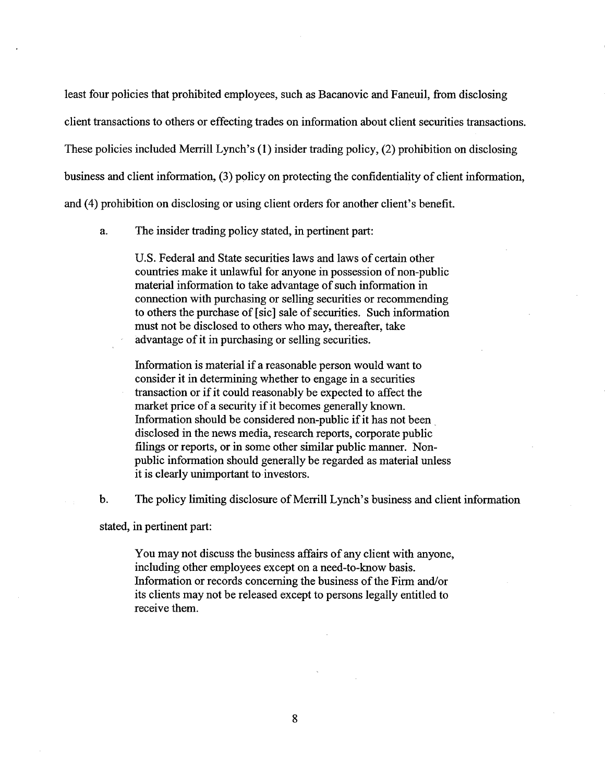least four policies that prohibited employees, such as Bacanovic and Faneuil, from disclosing client transactions to others or effecting trades on information about client securities transactions. These policies included Merrill Lynch's (1) insider trading policy, (2) prohibition on disclosing business and client information, **(3)** policy on protecting the confidentiality of client information, and (4) prohibition on disclosing or using client orders for another client's benefit.

a. The insider trading policy stated, in pertinent part:

U.S. Federal and State securities laws and laws of certain other countries make it unlawful for anyone in possession of non-public material information to take advantage of such information in connection with purchasing or selling securities or recommending to others the purchase of [sic] sale of securities. Such information must not be disclosed to others who may, thereafter, take advantage of it in purchasing or selling securities.

Information is material if a reasonable person would want to consider it in determining whether to engage in a securities transaction or if it could reasonably be expected to affect the market price of a security if it becomes generally known. Information should be considered non-public if it has not been . disclosed in the news media, research reports, corporate public filings or reports, or in some other similar public manner. Nonpublic information should generally be regarded as material unless it is clearly unimportant to investors.

b. The policy limiting disclosure of Merrill Lynch's business and client information

stated, in pertinent part:

You may not discuss the business affairs of any client with anyone, including other employees except on a need-to-know basis. Information or records concerning the business of the Firm and/or its clients may not be released except to persons legally entitled to receive them.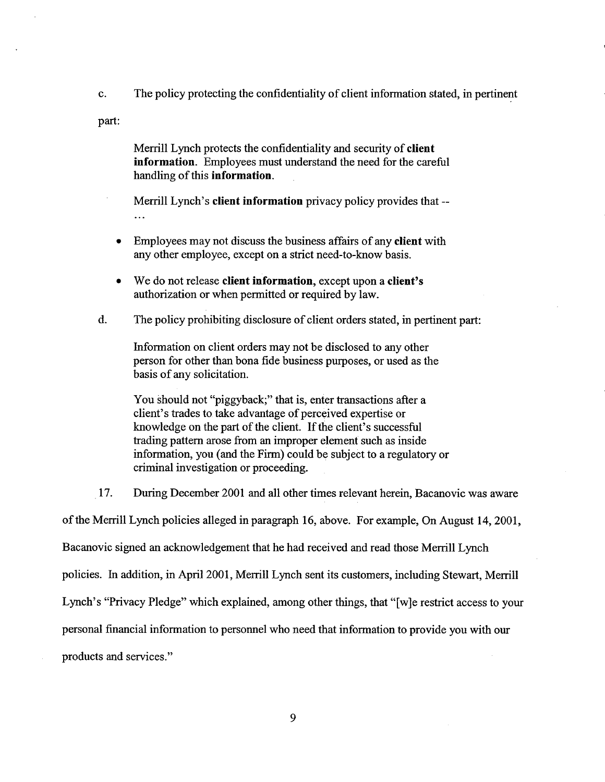c. The policy protecting the confidentiality of client information stated, in pertinent

part:

Merrill Lynch protects the confidentiality and security of client information. Employees must understand the need for the careful handling of this information.

Merrill Lynch's client information privacy policy provides that -- ...

- Employees may not discuss the business affairs of any client with any other employee, except on a strict need-to-know basis.
- We do not release client information, except upon a client's authorization or when permitted or required by law.
- d. The policy prohibiting disclosure of client orders stated, in pertinent part:

Information on client orders may not be disclosed to any other person for other than bona fide business purposes, or used as the basis of any solicitation.

You should not "piggyback;" that is, enter transactions after a client's trades to take advantage of perceived expertise or knowledge on the part of the client. If the client's successful trading pattern arose from an improper element such as inside information, you (and the Firm) could be subject to a regulatory or criminal investigation or proceeding.

17. During December 2001 and all other times relevant herein, Bacanovic was aware

of the Memll Lynch policies alleged in paragraph 16, above. For example, On August 14,2001,

Bacanovic signed an acknowledgement that he had received and read those Merrill Lynch

policies. In addition, in April 2001, Merrill Lynch sent its customers, including Stewart, Merrill

Lynch's "Privacy Pledge" which explained, among other things, that "[wle restrict access to your

personal financial information to personnel who need that information to provide you with our

products and services."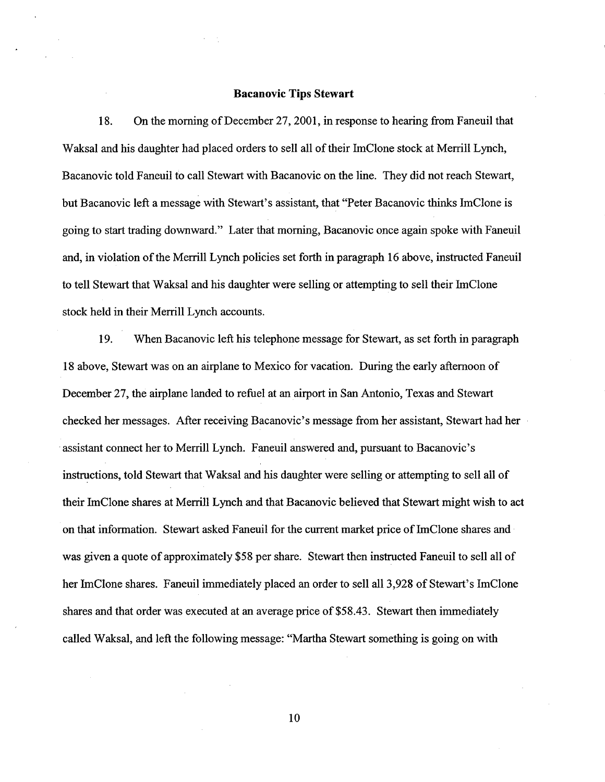#### **Bacanovic Tips Stewart**

18. On the morning of December 27,2001, in response to hearing from Faneuil that Waksal and his daughter had placed orders to sell all of their ImClone stock at Merrill Lynch, Bacanovic told Faneuil to call Stewart with Bacanovic on the line. They did not reach Stewart, but Bacanovic left a message with Stewart's assistant, that "Peter Bacanovic thinks ImClone is going to start trading downward." Later that morning, Bacanovic once again spoke with Faneuil and, in violation of the Merrill Lynch policies set forth in paragraph 16 above, instructed Faneuil to tell Stewart that Waksal and his daughter were selling or attempting to sell their ImClone stock held in their Merrill Lynch accounts.

19. When Bacanovic left his telephone message for Stewart, as set forth in paragraph 18 above, Stewart was on an airplane to Mexico for vacation. During the early afternoon of December 27, the airplane landed to refuel at an airport in San Antonio, Texas and Stewart checked her messages. After receiving Bacanovic's message from her assistant, Stewart had her assistant connect her to Merrill Lynch. Faneuil answered and, pursuant to Bacanovic's instructions, told Stewart that Waksal and his daughter were selling or attempting to sell all of their ImClone shares at Merrill Lynch and that Bacanovic believed that Stewart might wish to act on that information. Stewart asked Faneuil for the current market price of ImClone shares and was given a quote of approximately \$58 per share. Stewart then instructed Faneuil to sell all of her ImClone shares. Faneuil immediately placed an order to sell all 3,928 of Stewart's ImClone shares and that order was executed at an average price of \$58.43. Stewart then immediately called Waksal, and left the following message: "Martha Stewart something is going on with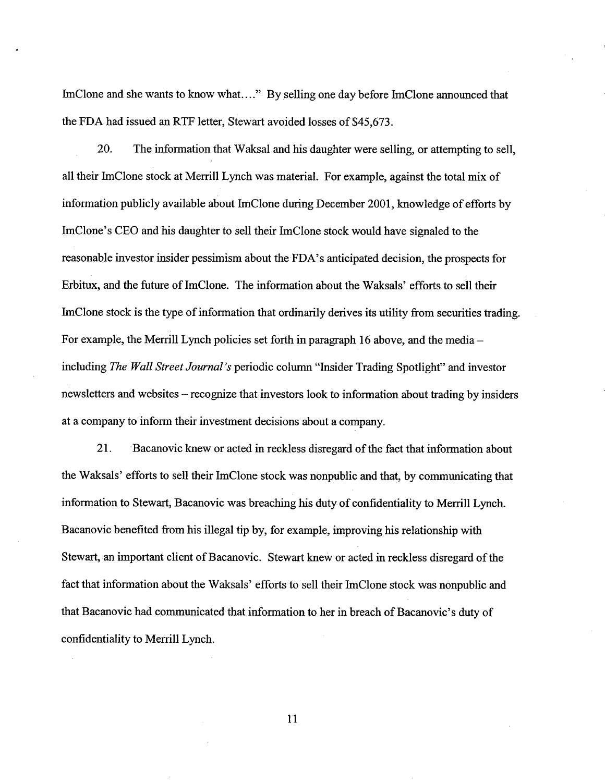ImClone and she wants to know what...." By selling one day before ImClone announced that the FDA had issued an RTF letter, Stewart avoided losses of \$45,673.

20. The information that Waksal and his daughter were selling, or attempting to sell, all their ImClone stock at Merrill Lynch was material. For example, against the total mix of information publicly available about ImClone during December 2001, knowledge of efforts by ImClone's CEO and his daughter to sell their ImClone stock would have signaled to the reasonable investor insider pessimism about the FDA's anticipated decision, the prospects for Erbitux, and the future of ImClone. The information about the Waksals' efforts to sell their ImClone stock is the type of information that ordinarily derives its utility from securities trading. For example, the Merrill Lynch policies set forth in paragraph 16 above, and the media – including *The Wall Street Journal's* periodic column "Insider Trading Spotlight" and investor newsletters and websites -recognize that investors look to information about trading by insiders at a company to inform their investment decisions about a company.

21. Bacanovic knew or acted in reckless disregard of the fact that information about the Waksals' efforts to sell their ImClone stock was nonpublic and that, by communicating that information to Stewart, Bacanovic was breaching his duty of confidentiality to Merrill Lynch. Bacanovic benefited from his illegal tip by, for example, improving his relationship with Stewart, an important client of Bacanovic. Stewart knew or acted in reckless disregard of the fact that information about the Waksals' efforts to sell their ImClone stock was nonpublic and that Bacanovic had communicated that information to her in breach of Bacanovic's duty of confidentiality to Memll Lynch.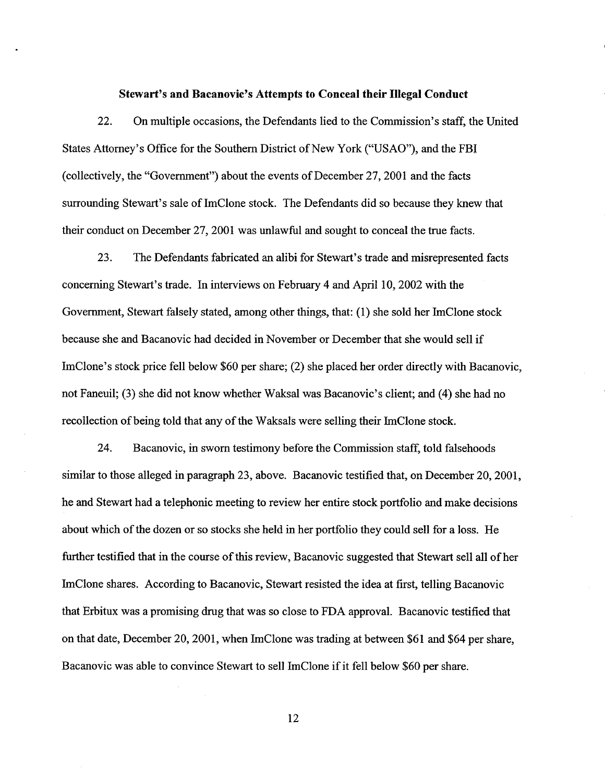#### **Stewart's and Bacanovic's Attempts to Conceal their Illegal Conduct**

22. On multiple occasions, the Defendants lied to the Commission's staff, the United States Attorney's Office for the Southern District of New York ("USAO"), and the FBI (collectively, the "Government") about the events of December 27,2001 and the facts surrounding Stewart's sale of ImClone stock. The Defendants did so because they knew that their conduct on December 27,2001 was unlawful and sought to conceal the true facts.

23. The Defendants fabricated an alibi for Stewart's trade and misrepresented facts concerning Stewart's trade. In interviews on February 4 and April 10,2002 with the Government, Stewart falsely stated, among other things, that: (1) she sold her ImClone stock because she and Bacanovic had decided in November or December that she would sell if ImClone's stock price fell below \$60 per share; (2) she placed her order directly with Bacanovic, not Faneuil; (3) she did not know whether Waksal was Bacanovic's client; and (4) she had no recollection of being told that any of the Waksals were selling their ImClone stock.

24. Bacanovic, in sworn testimony before the Commission staff, told falsehoods similar to those alleged in paragraph 23, above. Bacanovic testified that, on December 20, 2001, he and Stewart had a telephonic meeting to review her entire stock portfolio and make decisions about which of the dozen or so stocks she held in her portfolio they could sell for a loss. He further testified that in the course of this review, Bacanovic suggested that Stewart sell all of her ImClone shares. According to Bacanovic, Stewart resisted the idea at first, telling Bacanovic that Erbitux was a promising drug that was so close to FDA approval. Bacanovic testified that on that date, December 20,2001, when ImClone was trading at between \$61 and \$64 per share, Bacanovic was able to convince Stewart to sell ImClone if it fell below \$60 per share.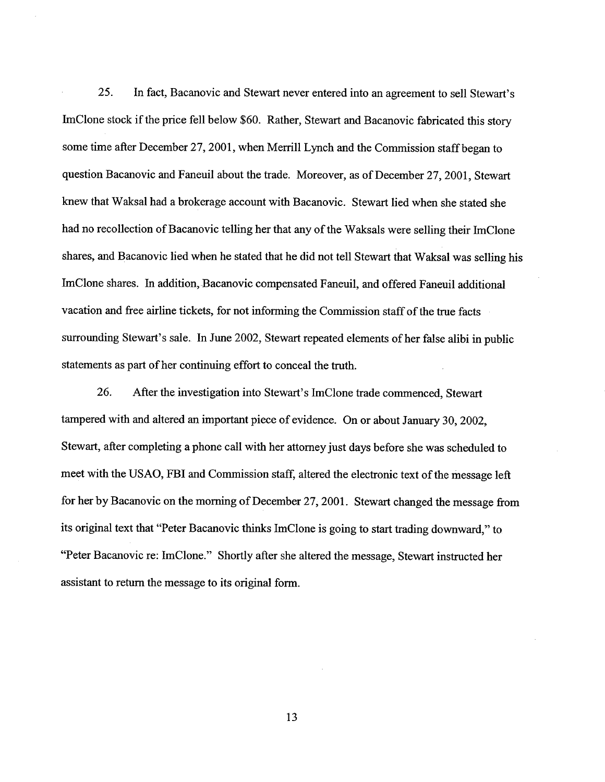25. In fact, Bacanovic and Stewart never entered into an agreement to sell Stewart's ImClone stock if the price fell below \$60. Rather, Stewart and Bacanovic fabricated this story some time after December 27,2001, when Merrill Lynch and the Commission staff began to question Bacanovic and Faneuil about the trade. Moreover, as of December 27,2001, Stewart knew that Waksal had a brokerage account with Bacanovic. Stewart lied when she stated she had no recollection of Bacanovic telling her that any of the Waksals were selling their ImClone shares, and Bacanovic lied when he stated that he did not tell Stewart that Waksal was selling his ImClone shares. In addition, Bacanovic compensated Faneuil, and offered Faneuil additional vacation and free airline tickets, for not informing the Commission staff of the true facts surrounding Stewart's sale. In June 2002, Stewart repeated elements of her false alibi in public statements as part of her continuing effort to conceal the truth.

26. After the investigation into Stewart's ImClone trade commenced, Stewart tampered with and altered an important piece of evidence. On or about January 30,2002, Stewart, after completing a phone call with her attorney just days before she was scheduled to meet with the USAO, FBI and Commission staff, altered the electronic text of the message left for her by Bacanovic on the morning of December 27,2001. Stewart changed the message fiom its original text that "Peter Bacanovic thinks ImClone is going to start trading downward," to "Peter Bacanovic re: ImClone." Shortly after she altered the message, Stewart instructed her assistant to return the message to its original form.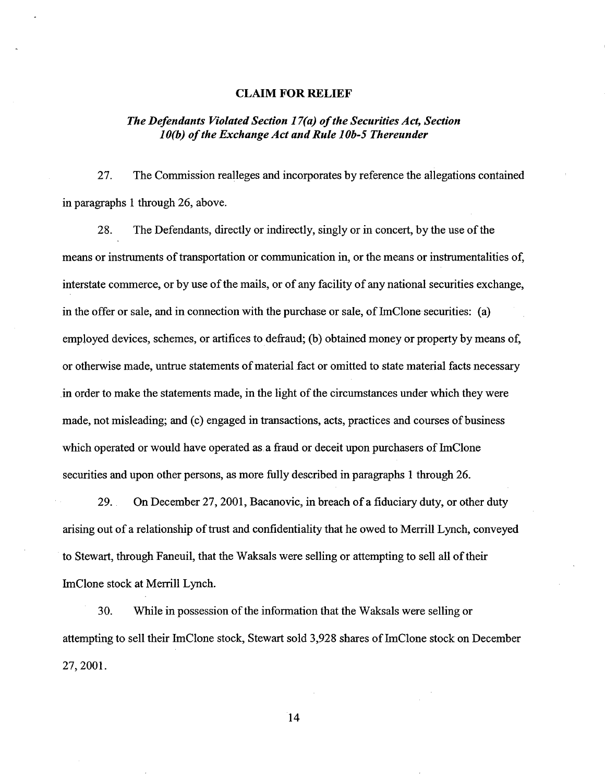#### **CLAIM FOR RELIEF**

## *The Defendants Violated Section 17(a) of the Securities Act, Section 1 O(b) of the Exchange Act and Rule 1 Ob-5 Thereunder*

27. The Commission realleges and incorporates by reference the allegations contained in paragraphs 1 through 26, above.

28. The Defendants, directly or indirectly, singly or in concert, by the use of the means or instruments of transportation or communication in, or the means or instrumentalities of, interstate commerce, or by use of the mails, or of any facility of any national securities exchange, in the offer or sale, and in connection with the purchase or sale, of ImClone securities: (a) employed devices, schemes, or artifices to defiaud; (b) obtained money or property by means of, or otherwise made, untrue statements of material fact or omitted to state material facts necessary in order to make the statements made, in the light of the circumstances under which they were made, not misleading; and (c) engaged in transactions, acts, practices and courses of business which operated or would have operated as a fraud or deceit upon purchasers of ImClone securities and upon other persons, as more fully described in paragraphs 1 through 26.

29. On December 27,2001, Bacanovic, in breach of a fiduciary duty, or other duty arising out of a relationship of trust and confidentiality that he owed to Menill Lynch, conveyed to Stewart, through Faneuil, that the Waksals were selling or attempting to sell all of their ImClone stock at Memll Lynch.

30. While in possession of the information that the Waksals were selling or attempting to sell their ImClone stock, Stewart sold 3,928 shares of ImClone stock on December 27,2001.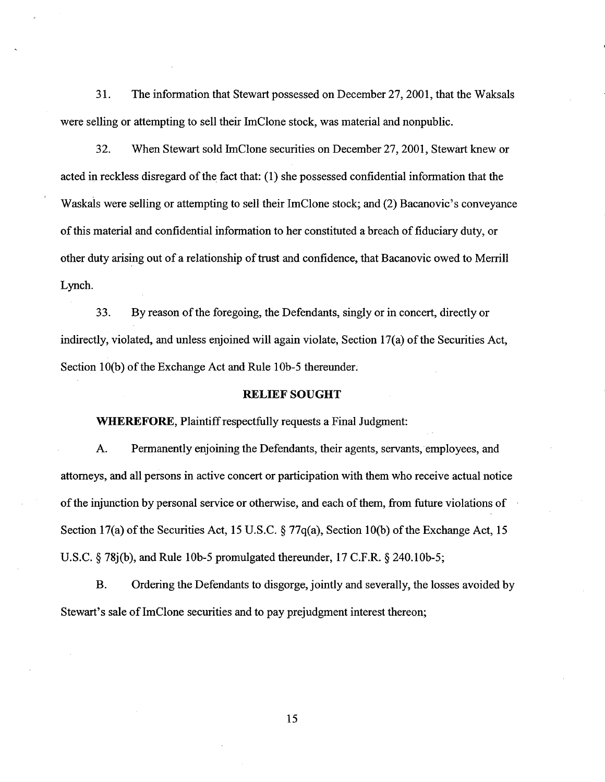3 1. The information that Stewart possessed on December 27,2001, that the Waksals were selling or attempting to sell their ImClone stock, was material and nonpublic.

32. When Stewart sold ImClone securities on December 27,2001, Stewart knew or acted in reckless disregard of the fact that: (1) she possessed confidential information that the Waskals were selling or attempting to sell their ImClone stock; and (2) Bacanovic's conveyance of this material and confidential information to her constituted a breach of fiduciary duty, or other duty arising out of a relationship of trust and confidence, that Bacanovic owed to Merrill Lynch.

33. By reason of the foregoing, the Defendants, singly or in concert, directly or indirectly, violated, and unless enjoined will again violate, Section 17(a) of the Securities Act, Section 10(b) of the Exchange Act and Rule 10b-5 thereunder.

#### **RELIEF SOUGHT**

**WHEREFORE,** Plaintiff respectfully requests a Final Judgment:

**A.** Permanently enjoining the Defendants, their agents, servants, employees, and attorneys, and all persons in active concert or participation with them who receive actual notice of the injunction by personal service or otherwise, and each of them, from future violations of Section 17(a) of the Securities Act, 15 U.S.C. § 77q(a), Section 10(b) of the Exchange Act, 15 U.S.C.  $\S$  78j(b), and Rule 10b-5 promulgated thereunder, 17 C.F.R.  $\S$  240.10b-5;

B. Ordering the Defendants to disgorge, jointly and severally, the losses avoided by Stewart's sale of ImClone securities and to pay prejudgment interest thereon;